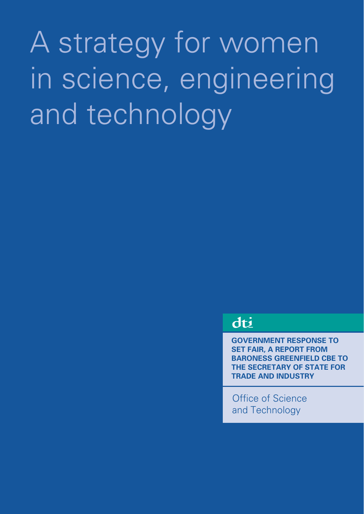# A strategy for women in science, engineering and technology

dti

**GOVERNMENT RESPONSE TO SET FAIR, A REPORT FROM BARONESS GREENFIELD CBE TO THE SECRETARY OF STATE FOR TRADE AND INDUSTRY**

Office of Science and Technology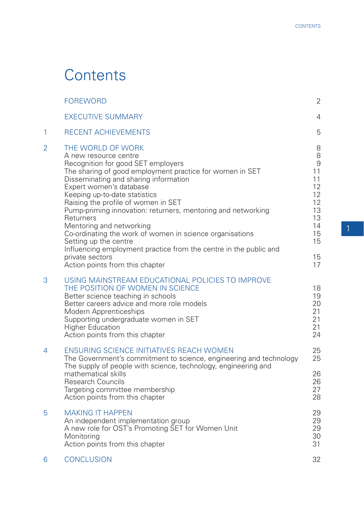# **Contents**

|                | <b>FOREWORD</b>                                                                                                                                                                                                                                                                                                                                                                                                                                                                                                                                                                                                   | $\mathbf{2}$                                                                               |
|----------------|-------------------------------------------------------------------------------------------------------------------------------------------------------------------------------------------------------------------------------------------------------------------------------------------------------------------------------------------------------------------------------------------------------------------------------------------------------------------------------------------------------------------------------------------------------------------------------------------------------------------|--------------------------------------------------------------------------------------------|
|                | <b>EXECUTIVE SUMMARY</b>                                                                                                                                                                                                                                                                                                                                                                                                                                                                                                                                                                                          | 4                                                                                          |
| 1              | RECENT ACHIEVEMENTS                                                                                                                                                                                                                                                                                                                                                                                                                                                                                                                                                                                               | 5                                                                                          |
| $\overline{2}$ | THE WORLD OF WORK<br>A new resource centre<br>Recognition for good SET employers<br>The sharing of good employment practice for women in SET<br>Disseminating and sharing information<br>Expert women's database<br>Keeping up-to-date statistics<br>Raising the profile of women in SET<br>Pump-priming innovation: returners, mentoring and networking<br>Returners<br>Mentoring and networking<br>Co-ordinating the work of women in science organisations<br>Setting up the centre<br>Influencing employment practice from the centre in the public and<br>private sectors<br>Action points from this chapter | 8<br>8<br>$\Theta$<br>11<br>11<br>12<br>12<br>12<br>13<br>13<br>14<br>15<br>15<br>15<br>17 |
| 3              | USING MAINSTREAM EDUCATIONAL POLICIES TO IMPROVE<br>THE POSITION OF WOMEN IN SCIENCE<br>Better science teaching in schools<br>Better careers advice and more role models<br><b>Modern Apprenticeships</b><br>Supporting undergraduate women in SET<br><b>Higher Education</b><br>Action points from this chapter                                                                                                                                                                                                                                                                                                  | 18<br>19<br>20<br>21<br>21<br>21<br>24                                                     |
| 4              | <b>ENSURING SCIENCE INITIATIVES REACH WOMEN</b><br>The Government's commitment to science, engineering and technology<br>The supply of people with science, technology, engineering and<br>mathematical skills                                                                                                                                                                                                                                                                                                                                                                                                    | 25<br>25<br>26                                                                             |
|                | <b>Research Councils</b><br>Targeting committee membership<br>Action points from this chapter                                                                                                                                                                                                                                                                                                                                                                                                                                                                                                                     | 26<br>27<br>28                                                                             |
| 5              | <b>MAKING IT HAPPEN</b><br>An independent implementation group<br>A new role for OST's Promoting SET for Women Unit<br>Monitoring<br>Action points from this chapter                                                                                                                                                                                                                                                                                                                                                                                                                                              | 29<br>29<br>29<br>30<br>31                                                                 |
| 6              | <b>CONCLUSION</b>                                                                                                                                                                                                                                                                                                                                                                                                                                                                                                                                                                                                 | 32                                                                                         |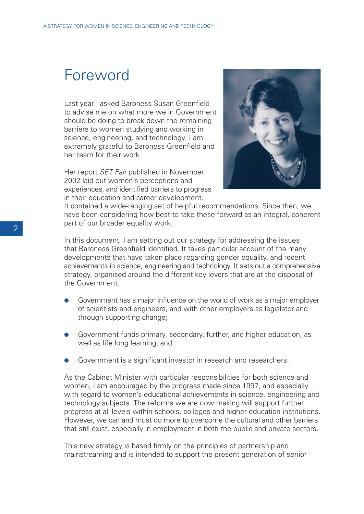# Foreword

Last year I asked Baroness Susan Greenfield to advise me on what more we in Government should be doing to break down the remaining barriers to women studying and working in science, engineering, and technology. I am extremely grateful to Baroness Greenfield and her team for their work.

Her report *SET Fair* published in November 2002 laid out women's perceptions and experiences, and identified barriers to progress in their education and career development.



It contained a wide-ranging set of helpful recommendations. Since then, we have been considering how best to take these forward as an integral, coherent part of our broader equality work.

In this document, I am setting out our strategy for addressing the issues that Baroness Greenfield identified. It takes particular account of the many developments that have taken place regarding gender equality, and recent achievements in science, engineering and technology. It sets out a comprehensive strategy, organised around the different key levers that are at the disposal of the Government.

- Government has a major influence on the world of work as a major employer of scientists and engineers, and with other employers as legislator and through supporting change;
- Government funds primary, secondary, further, and higher education, as well as life long learning; and
- Government is a significant investor in research and researchers.

As the Cabinet Minister with particular responsibilities for both science and women, I am encouraged by the progress made since 1997, and especially with regard to women's educational achievements in science, engineering and technology subjects. The reforms we are now making will support further progress at all levels within schools, colleges and higher education institutions. However, we can and must do more to overcome the cultural and other barriers that still exist, especially in employment in both the public and private sectors.

This new strategy is based firmly on the principles of partnership and mainstreaming and is intended to support the present generation of senior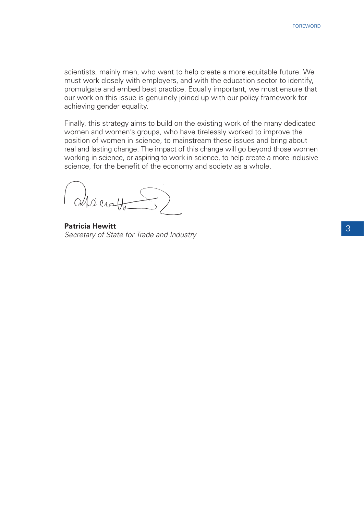scientists, mainly men, who want to help create a more equitable future. We must work closely with employers, and with the education sector to identify, promulgate and embed best practice. Equally important, we must ensure that our work on this issue is genuinely joined up with our policy framework for achieving gender equality.

Finally, this strategy aims to build on the existing work of the many dedicated women and women's groups, who have tirelessly worked to improve the position of women in science, to mainstream these issues and bring about real and lasting change. The impact of this change will go beyond those women working in science, or aspiring to work in science, to help create a more inclusive science, for the benefit of the economy and society as a whole.

(alseratte)

**Patricia Hewitt** Secretary of State for Trade and Industry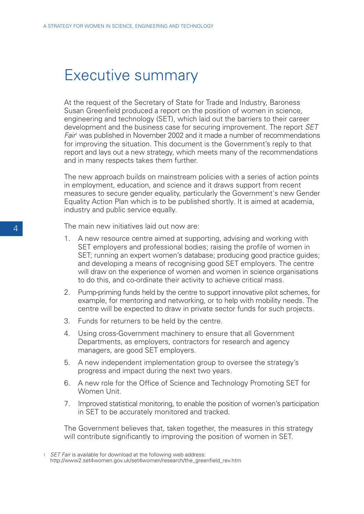# Executive summary

At the request of the Secretary of State for Trade and Industry, Baroness Susan Greenfield produced a report on the position of women in science, engineering and technology (SET), which laid out the barriers to their career development and the business case for securing improvement. The report SET Fair<sup>1</sup> was published in November 2002 and it made a number of recommendations for improving the situation. This document is the Government's reply to that report and lays out a new strategy, which meets many of the recommendations and in many respects takes them further.

The new approach builds on mainstream policies with a series of action points in employment, education, and science and it draws support from recent measures to secure gender equality, particularly the Government's new Gender Equality Action Plan which is to be published shortly. It is aimed at academia, industry and public service equally.

The main new initiatives laid out now are:

- 1. A new resource centre aimed at supporting, advising and working with SET employers and professional bodies; raising the profile of women in SET; running an expert women's database; producing good practice guides; and developing a means of recognising good SET employers. The centre will draw on the experience of women and women in science organisations to do this, and co-ordinate their activity to achieve critical mass.
- 2. Pump-priming funds held by the centre to support innovative pilot schemes, for example, for mentoring and networking, or to help with mobility needs. The centre will be expected to draw in private sector funds for such projects.
- 3. Funds for returners to be held by the centre.
- 4. Using cross-Government machinery to ensure that all Government Departments, as employers, contractors for research and agency managers, are good SET employers.
- 5. A new independent implementation group to oversee the strategy's progress and impact during the next two years.
- 6. A new role for the Office of Science and Technology Promoting SET for Women Unit.
- 7. Improved statistical monitoring, to enable the position of women's participation in SET to be accurately monitored and tracked.

The Government believes that, taken together, the measures in this strategy will contribute significantly to improving the position of women in SET.

<sup>1</sup> SET Fair is available for download at the following web address: http://www2.set4women.gov.uk/set4women/research/the\_greenfield\_rev.htm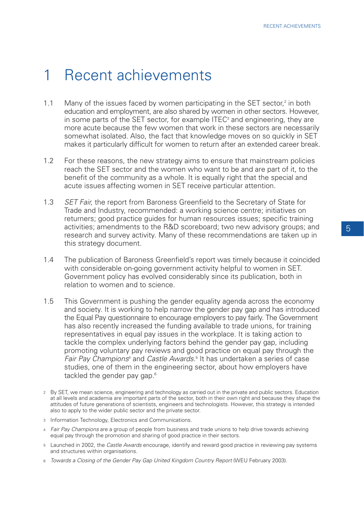# 1 Recent achievements

- 1.1 Many of the issues faced by women participating in the SET sector, $2$  in both education and employment, are also shared by women in other sectors. However, in some parts of the SET sector, for example ITEC<sup>3</sup> and engineering, they are more acute because the few women that work in these sectors are necessarily somewhat isolated. Also, the fact that knowledge moves on so quickly in SET makes it particularly difficult for women to return after an extended career break.
- 1.2 For these reasons, the new strategy aims to ensure that mainstream policies reach the SET sector and the women who want to be and are part of it, to the benefit of the community as a whole. It is equally right that the special and acute issues affecting women in SET receive particular attention.
- 1.3 SET Fair, the report from Baroness Greenfield to the Secretary of State for Trade and Industry, recommended: a working science centre; initiatives on returners; good practice guides for human resources issues; specific training activities; amendments to the R&D scoreboard; two new advisory groups; and research and survey activity. Many of these recommendations are taken up in this strategy document.
- 1.4 The publication of Baroness Greenfield's report was timely because it coincided with considerable on-going government activity helpful to women in SET. Government policy has evolved considerably since its publication, both in relation to women and to science.
- 1.5 This Government is pushing the gender equality agenda across the economy and society. It is working to help narrow the gender pay gap and has introduced the Equal Pay questionnaire to encourage employers to pay fairly. The Government has also recently increased the funding available to trade unions, for training representatives in equal pay issues in the workplace. It is taking action to tackle the complex underlying factors behind the gender pay gap, including promoting voluntary pay reviews and good practice on equal pay through the Fair Pay Champions<sup>4</sup> and Castle Awards.<sup>5</sup> It has undertaken a series of case studies, one of them in the engineering sector, about how employers have tackled the gender pay gap.<sup>6</sup>
- <sup>2</sup> By SET, we mean science, engineering and technology as carried out in the private and public sectors. Education at all levels and academia are important parts of the sector, both in their own right and because they shape the attitudes of future generations of scientists, engineers and technologists. However, this strategy is intended also to apply to the wider public sector and the private sector.
- <sup>3</sup> Information Technology, Electronics and Communications.
- <sup>4</sup> Fair Pay Champions are a group of people from business and trade unions to help drive towards achieving equal pay through the promotion and sharing of good practice in their sectors.
- <sup>5</sup> Launched in 2002, the Castle Awards encourage, identify and reward good practice in reviewing pay systems and structures within organisations.
- 6 Towards a Closing of the Gender Pay Gap United Kingdom Country Report (WEU February 2003).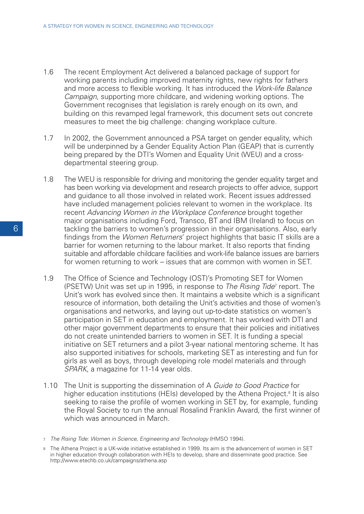- 1.6 The recent Employment Act delivered a balanced package of support for working parents including improved maternity rights, new rights for fathers and more access to flexible working. It has introduced the Work-life Balance Campaign, supporting more childcare, and widening working options. The Government recognises that legislation is rarely enough on its own, and building on this revamped legal framework, this document sets out concrete measures to meet the big challenge: changing workplace culture.
- 1.7 In 2002, the Government announced a PSA target on gender equality, which will be underpinned by a Gender Equality Action Plan (GEAP) that is currently being prepared by the DTI's Women and Equality Unit (WEU) and a crossdepartmental steering group.
- 1.8 The WEU is responsible for driving and monitoring the gender equality target and has been working via development and research projects to offer advice, support and guidance to all those involved in related work. Recent issues addressed have included management policies relevant to women in the workplace. Its recent Advancing Women in the Workplace Conference brought together major organisations including Ford, Transco, BT and IBM (Ireland) to focus on tackling the barriers to women's progression in their organisations. Also, early findings from the Women Returners' project highlights that basic IT skills are a barrier for women returning to the labour market. It also reports that finding suitable and affordable childcare facilities and work-life balance issues are barriers for women returning to work – issues that are common with women in SET.
- 1.9 The Office of Science and Technology (OST)'s Promoting SET for Women (PSETW) Unit was set up in 1995, in response to The Rising Tide<sup>7</sup> report. The Unit's work has evolved since then. It maintains a website which is a significant resource of information, both detailing the Unit's activities and those of women's organisations and networks, and laying out up-to-date statistics on women's participation in SET in education and employment. It has worked with DTI and other major government departments to ensure that their policies and initiatives do not create unintended barriers to women in SET. It is funding a special initiative on SET returners and a pilot 3-year national mentoring scheme. It has also supported initiatives for schools, marketing SET as interesting and fun for girls as well as boys, through developing role model materials and through SPARK, a magazine for 11-14 year olds.
- 1.10 The Unit is supporting the dissemination of A Guide to Good Practice for higher education institutions (HEIs) developed by the Athena Project.<sup>8</sup> It is also seeking to raise the profile of women working in SET by, for example, funding the Royal Society to run the annual Rosalind Franklin Award, the first winner of which was announced in March.

<sup>7</sup> The Rising Tide: Women in Science, Engineering and Technology (HMSO 1994).

<sup>8</sup> The Athena Project is a UK-wide initiative established in 1999. Its aim is the advancement of women in SET in higher education through collaboration with HEIs to develop, share and disseminate good practice. See http://www.etechb.co.uk/campaigns/athena.asp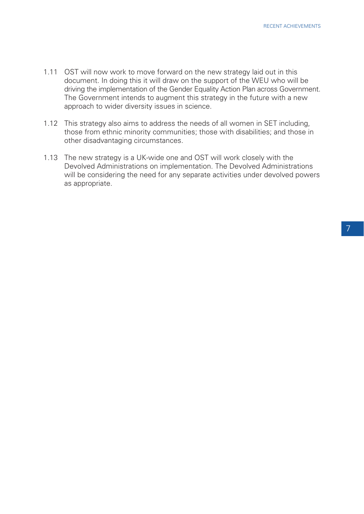- 1.11 OST will now work to move forward on the new strategy laid out in this document. In doing this it will draw on the support of the WEU who will be driving the implementation of the Gender Equality Action Plan across Government. The Government intends to augment this strategy in the future with a new approach to wider diversity issues in science.
- 1.12 This strategy also aims to address the needs of all women in SET including, those from ethnic minority communities; those with disabilities; and those in other disadvantaging circumstances.
- 1.13 The new strategy is a UK-wide one and OST will work closely with the Devolved Administrations on implementation. The Devolved Administrations will be considering the need for any separate activities under devolved powers as appropriate.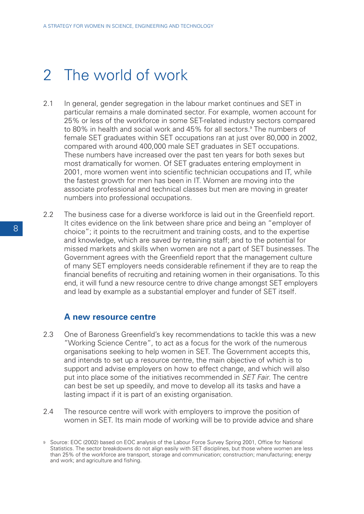# 2 The world of work

- 2.1 In general, gender segregation in the labour market continues and SET in particular remains a male dominated sector. For example, women account for 25% or less of the workforce in some SET-related industry sectors compared to 80% in health and social work and 45% for all sectors.<sup>9</sup> The numbers of female SET graduates within SET occupations ran at just over 80,000 in 2002, compared with around 400,000 male SET graduates in SET occupations. These numbers have increased over the past ten years for both sexes but most dramatically for women. Of SET graduates entering employment in 2001, more women went into scientific technician occupations and IT, while the fastest growth for men has been in IT. Women are moving into the associate professional and technical classes but men are moving in greater numbers into professional occupations.
- 2.2 The business case for a diverse workforce is laid out in the Greenfield report. It cites evidence on the link between share price and being an "employer of choice"; it points to the recruitment and training costs, and to the expertise and knowledge, which are saved by retaining staff; and to the potential for missed markets and skills when women are not a part of SET businesses. The Government agrees with the Greenfield report that the management culture of many SET employers needs considerable refinement if they are to reap the financial benefits of recruiting and retaining women in their organisations. To this end, it will fund a new resource centre to drive change amongst SET employers and lead by example as a substantial employer and funder of SET itself.

#### **A new resource centre**

- 2.3 One of Baroness Greenfield's key recommendations to tackle this was a new "Working Science Centre", to act as a focus for the work of the numerous organisations seeking to help women in SET. The Government accepts this, and intends to set up a resource centre, the main objective of which is to support and advise employers on how to effect change, and which will also put into place some of the initiatives recommended in *SET Fair*. The centre can best be set up speedily, and move to develop all its tasks and have a lasting impact if it is part of an existing organisation.
- 2.4 The resource centre will work with employers to improve the position of women in SET. Its main mode of working will be to provide advice and share

<sup>9</sup> Source: EOC (2002) based on EOC analysis of the Labour Force Survey Spring 2001, Office for National Statistics. The sector breakdowns do not align easily with SET disciplines, but those where women are less than 25% of the workforce are transport, storage and communication; construction; manufacturing; energy and work; and agriculture and fishing.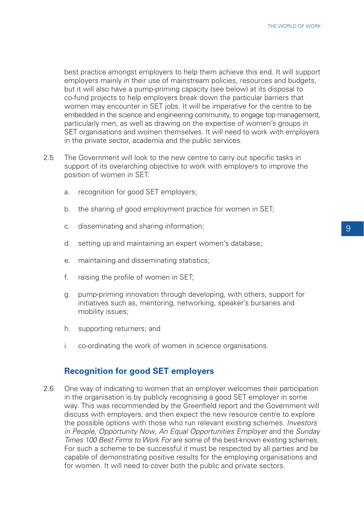best practice amongst employers to help them achieve this end. It will support employers mainly in their use of mainstream policies, resources and budgets, but it will also have a pump-priming capacity (see below) at its disposal to co-fund projects to help employers break down the particular barriers that women may encounter in SET jobs. It will be imperative for the centre to be embedded in the science and engineering community, to engage top management, particularly men, as well as drawing on the expertise of women's groups in SET organisations and women themselves. It will need to work with employers in the private sector, academia and the public services.

- 2.5 The Government will look to the new centre to carry out specific tasks in support of its overarching objective to work with employers to improve the position of women in SET:
	- a. recognition for good SET employers;
	- b. the sharing of good employment practice for women in SET;
	- c. disseminating and sharing information;
	- d. setting up and maintaining an expert women's database;
	- e. maintaining and disseminating statistics;
	- f. raising the profile of women in SET;
	- g. pump-priming innovation through developing, with others, support for initiatives such as, mentoring, networking, speaker's bursaries and mobility issues;
	- h. supporting returners; and
	- i. co-ordinating the work of women in science organisations.

#### **Recognition for good SET employers**

2.6 One way of indicating to women that an employer welcomes their participation in the organisation is by publicly recognising a good SET employer in some way. This was recommended by the Greenfield report and the Government will discuss with employers, and then expect the new resource centre to explore the possible options with those who run relevant existing schemes. *Investors* in People, Opportunity Now, An Equal Opportunities Employer and the Sunday Times 100 Best Firms to Work For are some of the best-known existing schemes. For such a scheme to be successful it must be respected by all parties and be capable of demonstrating positive results for the employing organisations and for women. It will need to cover both the public and private sectors.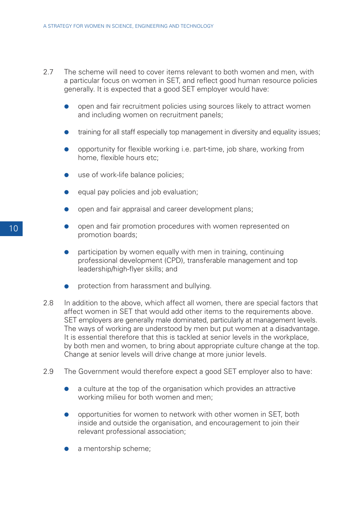- 2.7 The scheme will need to cover items relevant to both women and men, with a particular focus on women in SET, and reflect good human resource policies generally. It is expected that a good SET employer would have:
	- open and fair recruitment policies using sources likely to attract women and including women on recruitment panels;
	- training for all staff especially top management in diversity and equality issues;
	- opportunity for flexible working i.e. part-time, job share, working from home, flexible hours etc;
	- use of work-life balance policies;
	- equal pay policies and job evaluation;
	- open and fair appraisal and career development plans;
	- open and fair promotion procedures with women represented on promotion boards;
	- participation by women equally with men in training, continuing professional development (CPD), transferable management and top leadership/high-flyer skills; and
	- protection from harassment and bullying.
- 2.8 In addition to the above, which affect all women, there are special factors that affect women in SET that would add other items to the requirements above. SET employers are generally male dominated, particularly at management levels. The ways of working are understood by men but put women at a disadvantage. It is essential therefore that this is tackled at senior levels in the workplace, by both men and women, to bring about appropriate culture change at the top. Change at senior levels will drive change at more junior levels.
- 2.9 The Government would therefore expect a good SET employer also to have:
	- a culture at the top of the organisation which provides an attractive working milieu for both women and men;
	- opportunities for women to network with other women in SET, both inside and outside the organisation, and encouragement to join their relevant professional association;
	- a mentorship scheme;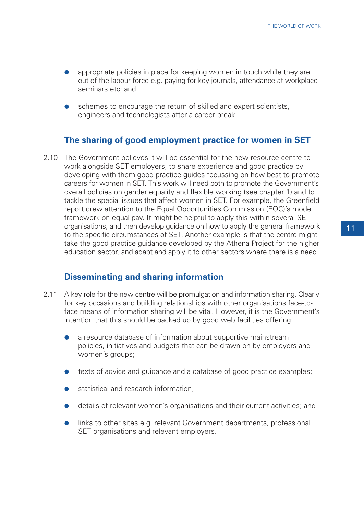- appropriate policies in place for keeping women in touch while they are out of the labour force e.g. paying for key journals, attendance at workplace seminars etc; and
- schemes to encourage the return of skilled and expert scientists, engineers and technologists after a career break.

### **The sharing of good employment practice for women in SET**

2.10 The Government believes it will be essential for the new resource centre to work alongside SET employers, to share experience and good practice by developing with them good practice guides focussing on how best to promote careers for women in SET. This work will need both to promote the Government's overall policies on gender equality and flexible working (see chapter 1) and to tackle the special issues that affect women in SET. For example, the Greenfield report drew attention to the Equal Opportunities Commission (EOC)'s model framework on equal pay. It might be helpful to apply this within several SET organisations, and then develop guidance on how to apply the general framework to the specific circumstances of SET. Another example is that the centre might take the good practice guidance developed by the Athena Project for the higher education sector, and adapt and apply it to other sectors where there is a need.

#### **Disseminating and sharing information**

- 2.11 A key role for the new centre will be promulgation and information sharing. Clearly for key occasions and building relationships with other organisations face-toface means of information sharing will be vital. However, it is the Government's intention that this should be backed up by good web facilities offering:
	- a resource database of information about supportive mainstream policies, initiatives and budgets that can be drawn on by employers and women's groups;
	- texts of advice and guidance and a database of good practice examples;
	- statistical and research information;
	- details of relevant women's organisations and their current activities; and
	- links to other sites e.g. relevant Government departments, professional SET organisations and relevant employers.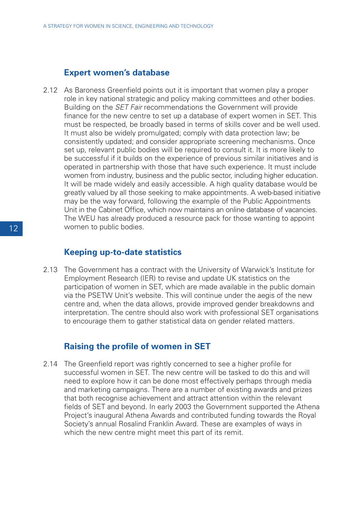#### **Expert women's database**

2.12 As Baroness Greenfield points out it is important that women play a proper role in key national strategic and policy making committees and other bodies. Building on the SET Fair recommendations the Government will provide finance for the new centre to set up a database of expert women in SET. This must be respected, be broadly based in terms of skills cover and be well used. It must also be widely promulgated; comply with data protection law; be consistently updated; and consider appropriate screening mechanisms. Once set up, relevant public bodies will be required to consult it. It is more likely to be successful if it builds on the experience of previous similar initiatives and is operated in partnership with those that have such experience. It must include women from industry, business and the public sector, including higher education. It will be made widely and easily accessible. A high quality database would be greatly valued by all those seeking to make appointments. A web-based initiative may be the way forward, following the example of the Public Appointments Unit in the Cabinet Office, which now maintains an online database of vacancies. The WEU has already produced a resource pack for those wanting to appoint women to public bodies.

#### **Keeping up-to-date statistics**

2.13 The Government has a contract with the University of Warwick's Institute for Employment Research (IER) to revise and update UK statistics on the participation of women in SET, which are made available in the public domain via the PSETW Unit's website. This will continue under the aegis of the new centre and, when the data allows, provide improved gender breakdowns and interpretation. The centre should also work with professional SET organisations to encourage them to gather statistical data on gender related matters.

#### **Raising the profile of women in SET**

2.14 The Greenfield report was rightly concerned to see a higher profile for successful women in SET. The new centre will be tasked to do this and will need to explore how it can be done most effectively perhaps through media and marketing campaigns. There are a number of existing awards and prizes that both recognise achievement and attract attention within the relevant fields of SET and beyond. In early 2003 the Government supported the Athena Project's inaugural Athena Awards and contributed funding towards the Royal Society's annual Rosalind Franklin Award. These are examples of ways in which the new centre might meet this part of its remit.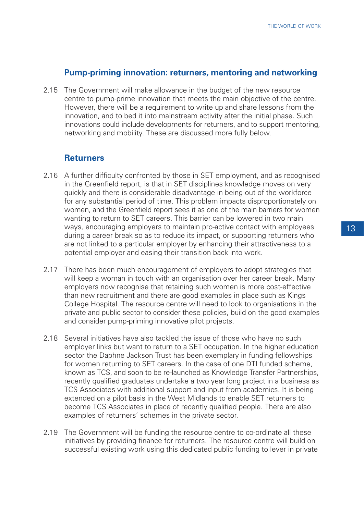#### **Pump-priming innovation: returners, mentoring and networking**

2.15 The Government will make allowance in the budget of the new resource centre to pump-prime innovation that meets the main objective of the centre. However, there will be a requirement to write up and share lessons from the innovation, and to bed it into mainstream activity after the initial phase. Such innovations could include developments for returners, and to support mentoring, networking and mobility. These are discussed more fully below.

### **Returners**

- 2.16 A further difficulty confronted by those in SET employment, and as recognised in the Greenfield report, is that in SET disciplines knowledge moves on very quickly and there is considerable disadvantage in being out of the workforce for any substantial period of time. This problem impacts disproportionately on women, and the Greenfield report sees it as one of the main barriers for women wanting to return to SET careers. This barrier can be lowered in two main ways, encouraging employers to maintain pro-active contact with employees during a career break so as to reduce its impact, or supporting returners who are not linked to a particular employer by enhancing their attractiveness to a potential employer and easing their transition back into work.
- 2.17 There has been much encouragement of employers to adopt strategies that will keep a woman in touch with an organisation over her career break. Many employers now recognise that retaining such women is more cost-effective than new recruitment and there are good examples in place such as Kings College Hospital. The resource centre will need to look to organisations in the private and public sector to consider these policies, build on the good examples and consider pump-priming innovative pilot projects.
- 2.18 Several initiatives have also tackled the issue of those who have no such employer links but want to return to a SET occupation. In the higher education sector the Daphne Jackson Trust has been exemplary in funding fellowships for women returning to SET careers. In the case of one DTI funded scheme, known as TCS, and soon to be re-launched as Knowledge Transfer Partnerships, recently qualified graduates undertake a two year long project in a business as TCS Associates with additional support and input from academics. It is being extended on a pilot basis in the West Midlands to enable SET returners to become TCS Associates in place of recently qualified people. There are also examples of returners' schemes in the private sector.
- 2.19 The Government will be funding the resource centre to co-ordinate all these initiatives by providing finance for returners. The resource centre will build on successful existing work using this dedicated public funding to lever in private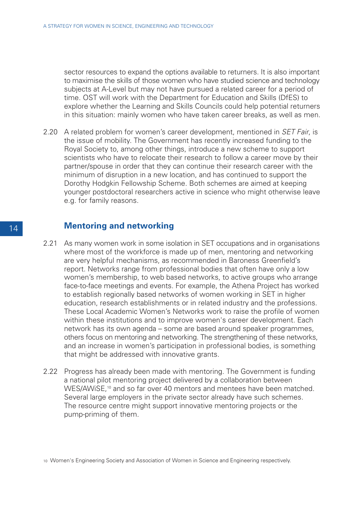sector resources to expand the options available to returners. It is also important to maximise the skills of those women who have studied science and technology subjects at A-Level but may not have pursued a related career for a period of time. OST will work with the Department for Education and Skills (DfES) to explore whether the Learning and Skills Councils could help potential returners in this situation: mainly women who have taken career breaks, as well as men.

2.20 A related problem for women's career development, mentioned in *SET Fair*, is the issue of mobility. The Government has recently increased funding to the Royal Society to, among other things, introduce a new scheme to support scientists who have to relocate their research to follow a career move by their partner/spouse in order that they can continue their research career with the minimum of disruption in a new location, and has continued to support the Dorothy Hodgkin Fellowship Scheme. Both schemes are aimed at keeping younger postdoctoral researchers active in science who might otherwise leave e.g. for family reasons.

#### **Mentoring and networking**

- 2.21 As many women work in some isolation in SET occupations and in organisations where most of the workforce is made up of men, mentoring and networking are very helpful mechanisms, as recommended in Baroness Greenfield's report. Networks range from professional bodies that often have only a low women's membership, to web based networks, to active groups who arrange face-to-face meetings and events. For example, the Athena Project has worked to establish regionally based networks of women working in SET in higher education, research establishments or in related industry and the professions. These Local Academic Women's Networks work to raise the profile of women within these institutions and to improve women's career development. Each network has its own agenda – some are based around speaker programmes, others focus on mentoring and networking. The strengthening of these networks, and an increase in women's participation in professional bodies, is something that might be addressed with innovative grants.
- 2.22 Progress has already been made with mentoring. The Government is funding a national pilot mentoring project delivered by a collaboration between WES/AWISE,<sup>10</sup> and so far over 40 mentors and mentees have been matched. Several large employers in the private sector already have such schemes. The resource centre might support innovative mentoring projects or the pump-priming of them.

<sup>10</sup> Women's Engineering Society and Association of Women in Science and Engineering respectively.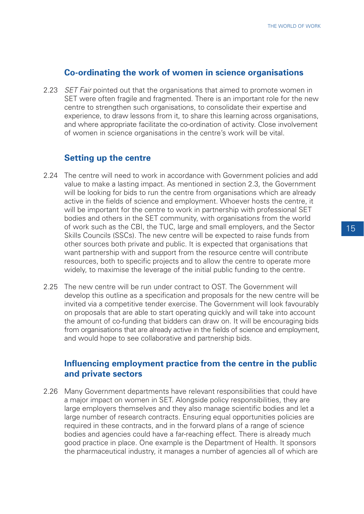#### **Co-ordinating the work of women in science organisations**

2.23 *SET Fair pointed out that the organisations that aimed to promote women in* SET were often fragile and fragmented. There is an important role for the new centre to strengthen such organisations, to consolidate their expertise and experience, to draw lessons from it, to share this learning across organisations, and where appropriate facilitate the co-ordination of activity. Close involvement of women in science organisations in the centre's work will be vital.

#### **Setting up the centre**

- 2.24 The centre will need to work in accordance with Government policies and add value to make a lasting impact. As mentioned in section 2.3, the Government will be looking for bids to run the centre from organisations which are already active in the fields of science and employment. Whoever hosts the centre, it will be important for the centre to work in partnership with professional SET bodies and others in the SET community, with organisations from the world of work such as the CBI, the TUC, large and small employers, and the Sector Skills Councils (SSCs). The new centre will be expected to raise funds from other sources both private and public. It is expected that organisations that want partnership with and support from the resource centre will contribute resources, both to specific projects and to allow the centre to operate more widely, to maximise the leverage of the initial public funding to the centre.
- 2.25 The new centre will be run under contract to OST. The Government will develop this outline as a specification and proposals for the new centre will be invited via a competitive tender exercise. The Government will look favourably on proposals that are able to start operating quickly and will take into account the amount of co-funding that bidders can draw on. It will be encouraging bids from organisations that are already active in the fields of science and employment, and would hope to see collaborative and partnership bids.

### **Influencing employment practice from the centre in the public and private sectors**

2.26 Many Government departments have relevant responsibilities that could have a major impact on women in SET. Alongside policy responsibilities, they are large employers themselves and they also manage scientific bodies and let a large number of research contracts. Ensuring equal opportunities policies are required in these contracts, and in the forward plans of a range of science bodies and agencies could have a far-reaching effect. There is already much good practice in place. One example is the Department of Health. It sponsors the pharmaceutical industry, it manages a number of agencies all of which are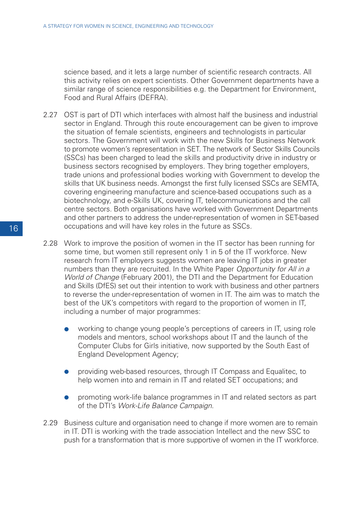science based, and it lets a large number of scientific research contracts. All this activity relies on expert scientists. Other Government departments have a similar range of science responsibilities e.g. the Department for Environment, Food and Rural Affairs (DEFRA).

- 2.27 OST is part of DTI which interfaces with almost half the business and industrial sector in England. Through this route encouragement can be given to improve the situation of female scientists, engineers and technologists in particular sectors. The Government will work with the new Skills for Business Network to promote women's representation in SET. The network of Sector Skills Councils (SSCs) has been charged to lead the skills and productivity drive in industry or business sectors recognised by employers. They bring together employers, trade unions and professional bodies working with Government to develop the skills that UK business needs. Amongst the first fully licensed SSCs are SEMTA, covering engineering manufacture and science-based occupations such as a biotechnology, and e-Skills UK, covering IT, telecommunications and the call centre sectors. Both organisations have worked with Government Departments and other partners to address the under-representation of women in SET-based occupations and will have key roles in the future as SSCs.
- 2.28 Work to improve the position of women in the IT sector has been running for some time, but women still represent only 1 in 5 of the IT workforce. New research from IT employers suggests women are leaving IT jobs in greater numbers than they are recruited. In the White Paper Opportunity for All in a World of Change (February 2001), the DTI and the Department for Education and Skills (DfES) set out their intention to work with business and other partners to reverse the under-representation of women in IT. The aim was to match the best of the UK's competitors with regard to the proportion of women in IT, including a number of major programmes:
	- working to change young people's perceptions of careers in IT, using role models and mentors, school workshops about IT and the launch of the Computer Clubs for Girls initiative, now supported by the South East of England Development Agency;
	- providing web-based resources, through IT Compass and Equalitec, to help women into and remain in IT and related SET occupations; and
	- promoting work-life balance programmes in IT and related sectors as part of the DTI's Work-Life Balance Campaign.
- 2.29 Business culture and organisation need to change if more women are to remain in IT. DTI is working with the trade association Intellect and the new SSC to push for a transformation that is more supportive of women in the IT workforce.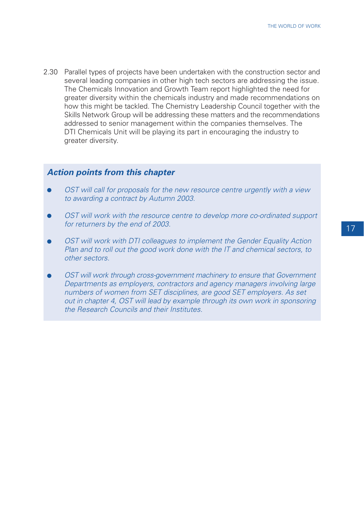2.30 Parallel types of projects have been undertaken with the construction sector and several leading companies in other high tech sectors are addressing the issue. The Chemicals Innovation and Growth Team report highlighted the need for greater diversity within the chemicals industry and made recommendations on how this might be tackled. The Chemistry Leadership Council together with the Skills Network Group will be addressing these matters and the recommendations addressed to senior management within the companies themselves. The DTI Chemicals Unit will be playing its part in encouraging the industry to greater diversity.

#### **Action points from this chapter**

- OST will call for proposals for the new resource centre urgently with a view to awarding a contract by Autumn 2003.
- OST will work with the resource centre to develop more co-ordinated support for returners by the end of 2003.
- OST will work with DTI colleagues to implement the Gender Equality Action Plan and to roll out the good work done with the IT and chemical sectors, to other sectors.
- OST will work through cross-government machinery to ensure that Government Departments as employers, contractors and agency managers involving large numbers of women from SET disciplines, are good SET employers. As set out in chapter 4, OST will lead by example through its own work in sponsoring the Research Councils and their Institutes.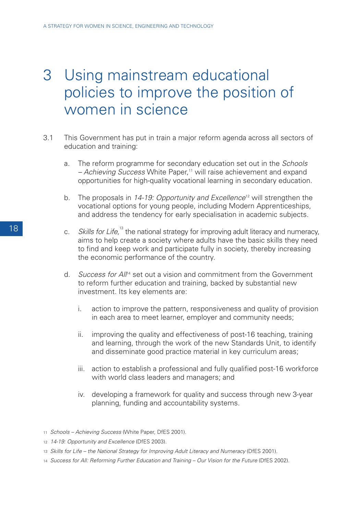# 3 Using mainstream educational policies to improve the position of women in science

- 3.1 This Government has put in train a major reform agenda across all sectors of education and training:
	- a. The reform programme for secondary education set out in the Schools  $-$  Achieving Success White Paper, $11$  will raise achievement and expand opportunities for high-quality vocational learning in secondary education.
	- b. The proposals in  $14-19$ : Opportunity and Excellence<sup>12</sup> will strengthen the vocational options for young people, including Modern Apprenticeships, and address the tendency for early specialisation in academic subjects.
	- c. Skills for Life,<sup>13</sup> the national strategy for improving adult literacy and numeracy, aims to help create a society where adults have the basic skills they need to find and keep work and participate fully in society, thereby increasing the economic performance of the country.
	- d. Success for Al<sup>n4</sup> set out a vision and commitment from the Government to reform further education and training, backed by substantial new investment. Its key elements are:
		- i. action to improve the pattern, responsiveness and quality of provision in each area to meet learner, employer and community needs;
		- ii. improving the quality and effectiveness of post-16 teaching, training and learning, through the work of the new Standards Unit, to identify and disseminate good practice material in key curriculum areas;
		- iii. action to establish a professional and fully qualified post-16 workforce with world class leaders and managers; and
		- iv. developing a framework for quality and success through new 3-year planning, funding and accountability systems.
- 11 Schools Achieving Success (White Paper, DfES 2001).
- 12 14-19: Opportunity and Excellence (DfES 2003).
- <sup>13</sup> Skills for Life the National Strategy for Improving Adult Literacy and Numeracy (DfES 2001).
- 14 Success for All: Reforming Further Education and Training Our Vision for the Future (DfES 2002).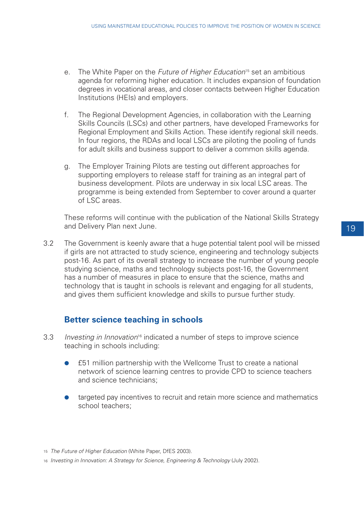- e. The White Paper on the Future of Higher Education<sup>15</sup> set an ambitious agenda for reforming higher education. It includes expansion of foundation degrees in vocational areas, and closer contacts between Higher Education Institutions (HEIs) and employers.
- f. The Regional Development Agencies, in collaboration with the Learning Skills Councils (LSCs) and other partners, have developed Frameworks for Regional Employment and Skills Action. These identify regional skill needs. In four regions, the RDAs and local LSCs are piloting the pooling of funds for adult skills and business support to deliver a common skills agenda.
- g. The Employer Training Pilots are testing out different approaches for supporting employers to release staff for training as an integral part of business development. Pilots are underway in six local LSC areas. The programme is being extended from September to cover around a quarter of LSC areas.

These reforms will continue with the publication of the National Skills Strategy and Delivery Plan next June.

3.2 The Government is keenly aware that a huge potential talent pool will be missed if girls are not attracted to study science, engineering and technology subjects post-16. As part of its overall strategy to increase the number of young people studying science, maths and technology subjects post-16, the Government has a number of measures in place to ensure that the science, maths and technology that is taught in schools is relevant and engaging for all students, and gives them sufficient knowledge and skills to pursue further study.

# **Better science teaching in schools**

- 3.3 Investing in Innovation<sup>16</sup> indicated a number of steps to improve science teaching in schools including:
	- **£51 million partnership with the Wellcome Trust to create a national** network of science learning centres to provide CPD to science teachers and science technicians;
	- targeted pay incentives to recruit and retain more science and mathematics school teachers;

<sup>16</sup> Investing in Innovation: A Strategy for Science, Engineering & Technology (July 2002).

<sup>15</sup> The Future of Higher Education (White Paper, DfES 2003).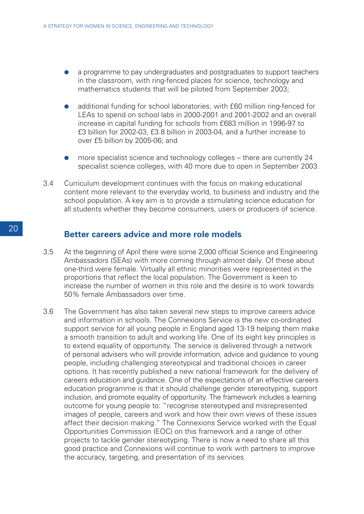- a programme to pay undergraduates and postgraduates to support teachers in the classroom, with ring-fenced places for science, technology and mathematics students that will be piloted from September 2003;
- additional funding for school laboratories, with £60 million ring-fenced for LEAs to spend on school labs in 2000-2001 and 2001-2002 and an overall increase in capital funding for schools from £683 million in 1996-97 to £3 billion for 2002-03, £3.8 billion in 2003-04, and a further increase to over £5 billion by 2005-06; and
- more specialist science and technology colleges there are currently  $24$ specialist science colleges, with 40 more due to open in September 2003.
- 3.4 Curriculum development continues with the focus on making educational content more relevant to the everyday world, to business and industry and the school population. A key aim is to provide a stimulating science education for all students whether they become consumers, users or producers of science.

#### **Better careers advice and more role models**

- 3.5 At the beginning of April there were some 2,000 official Science and Engineering Ambassadors (SEAs) with more coming through almost daily. Of these about one-third were female. Virtually all ethnic minorities were represented in the proportions that reflect the local population. The Government is keen to increase the number of women in this role and the desire is to work towards 50% female Ambassadors over time.
- 3.6 The Government has also taken several new steps to improve careers advice and information in schools. The Connexions Service is the new co-ordinated support service for all young people in England aged 13-19 helping them make a smooth transition to adult and working life. One of its eight key principles is to extend equality of opportunity. The service is delivered through a network of personal advisers who will provide information, advice and guidance to young people, including challenging stereotypical and traditional choices in career options. It has recently published a new national framework for the delivery of careers education and guidance. One of the expectations of an effective careers education programme is that it should challenge gender stereotyping, support inclusion, and promote equality of opportunity. The framework includes a learning outcome for young people to: "recognise stereotyped and misrepresented images of people, careers and work and how their own views of these issues affect their decision making." The Connexions Service worked with the Equal Opportunities Commission (EOC) on this framework and a range of other projects to tackle gender stereotyping. There is now a need to share all this good practice and Connexions will continue to work with partners to improve the accuracy, targeting, and presentation of its services.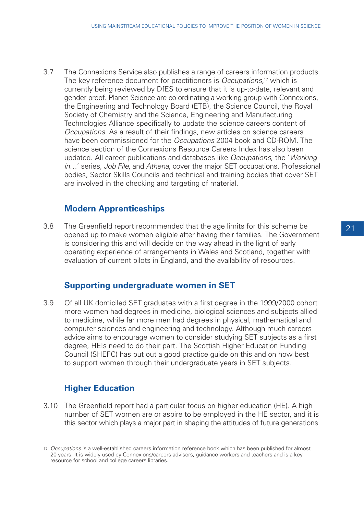3.7 The Connexions Service also publishes a range of careers information products. The key reference document for practitioners is *Occupations*,<sup>17</sup> which is currently being reviewed by DfES to ensure that it is up-to-date, relevant and gender proof. Planet Science are co-ordinating a working group with Connexions, the Engineering and Technology Board (ETB), the Science Council, the Royal Society of Chemistry and the Science, Engineering and Manufacturing Technologies Alliance specifically to update the science careers content of Occupations. As a result of their findings, new articles on science careers have been commissioned for the *Occupations* 2004 book and CD-ROM. The science section of the Connexions Resource Careers Index has also been updated. All career publications and databases like Occupations, the 'Working in…' series, Job File, and Athena, cover the major SET occupations. Professional bodies, Sector Skills Councils and technical and training bodies that cover SET are involved in the checking and targeting of material.

# **Modern Apprenticeships**

3.8 The Greenfield report recommended that the age limits for this scheme be opened up to make women eligible after having their families. The Government is considering this and will decide on the way ahead in the light of early operating experience of arrangements in Wales and Scotland, together with evaluation of current pilots in England, and the availability of resources.

## **Supporting undergraduate women in SET**

3.9 Of all UK domiciled SET graduates with a first degree in the 1999/2000 cohort more women had degrees in medicine, biological sciences and subjects allied to medicine, while far more men had degrees in physical, mathematical and computer sciences and engineering and technology. Although much careers advice aims to encourage women to consider studying SET subjects as a first degree, HEIs need to do their part. The Scottish Higher Education Funding Council (SHEFC) has put out a good practice guide on this and on how best to support women through their undergraduate years in SET subjects.

# **Higher Education**

3.10 The Greenfield report had a particular focus on higher education (HE). A high number of SET women are or aspire to be employed in the HE sector, and it is this sector which plays a major part in shaping the attitudes of future generations

<sup>17</sup> Occupations is a well-established careers information reference book which has been published for almost 20 years. It is widely used by Connexions/careers advisers, guidance workers and teachers and is a key resource for school and college careers libraries.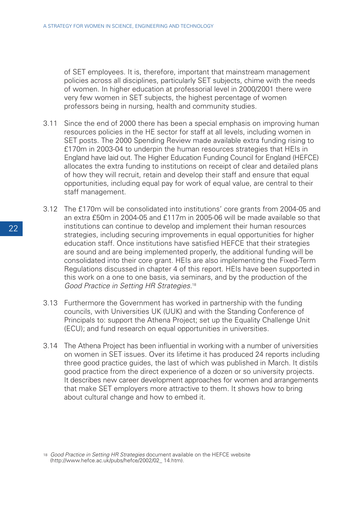of SET employees. It is, therefore, important that mainstream management policies across all disciplines, particularly SET subjects, chime with the needs of women. In higher education at professorial level in 2000/2001 there were very few women in SET subjects, the highest percentage of women professors being in nursing, health and community studies.

- 3.11 Since the end of 2000 there has been a special emphasis on improving human resources policies in the HE sector for staff at all levels, including women in SET posts. The 2000 Spending Review made available extra funding rising to £170m in 2003-04 to underpin the human resources strategies that HEIs in England have laid out. The Higher Education Funding Council for England (HEFCE) allocates the extra funding to institutions on receipt of clear and detailed plans of how they will recruit, retain and develop their staff and ensure that equal opportunities, including equal pay for work of equal value, are central to their staff management.
- 3.12 The £170m will be consolidated into institutions' core grants from 2004-05 and an extra £50m in 2004-05 and £117m in 2005-06 will be made available so that institutions can continue to develop and implement their human resources strategies, including securing improvements in equal opportunities for higher education staff. Once institutions have satisfied HEFCE that their strategies are sound and are being implemented properly, the additional funding will be consolidated into their core grant. HEIs are also implementing the Fixed-Term Regulations discussed in chapter 4 of this report. HEIs have been supported in this work on a one to one basis, via seminars, and by the production of the Good Practice in Setting HR Strategies.<sup>18</sup>
- 3.13 Furthermore the Government has worked in partnership with the funding councils, with Universities UK (UUK) and with the Standing Conference of Principals to: support the Athena Project; set up the Equality Challenge Unit (ECU); and fund research on equal opportunities in universities.
- 3.14 The Athena Project has been influential in working with a number of universities on women in SET issues. Over its lifetime it has produced 24 reports including three good practice guides, the last of which was published in March. It distils good practice from the direct experience of a dozen or so university projects. It describes new career development approaches for women and arrangements that make SET employers more attractive to them. It shows how to bring about cultural change and how to embed it.

<sup>18</sup> Good Practice in Setting HR Strategies document available on the HEFCE website (http://www.hefce.ac.uk/pubs/hefce/2002/02\_ 14.htm).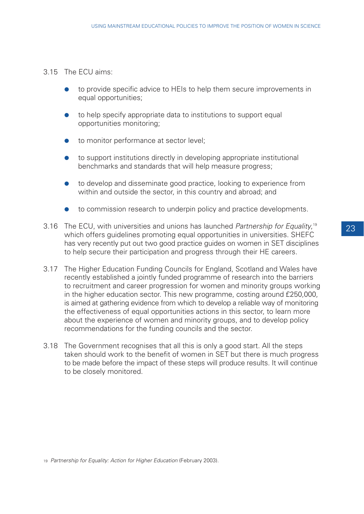#### 3.15 The ECU aims:

- to provide specific advice to HEIs to help them secure improvements in equal opportunities;
- to help specify appropriate data to institutions to support equal opportunities monitoring;
- to monitor performance at sector level;
- to support institutions directly in developing appropriate institutional benchmarks and standards that will help measure progress;
- to develop and disseminate good practice, looking to experience from within and outside the sector, in this country and abroad; and
- to commission research to underpin policy and practice developments.
- 3.16 The ECU, with universities and unions has launched Partnership for Equality,<sup>19</sup> which offers quidelines promoting equal opportunities in universities. SHEFC has very recently put out two good practice guides on women in SET disciplines to help secure their participation and progress through their HE careers.
- 3.17 The Higher Education Funding Councils for England, Scotland and Wales have recently established a jointly funded programme of research into the barriers to recruitment and career progression for women and minority groups working in the higher education sector. This new programme, costing around £250,000, is aimed at gathering evidence from which to develop a reliable way of monitoring the effectiveness of equal opportunities actions in this sector, to learn more about the experience of women and minority groups, and to develop policy recommendations for the funding councils and the sector.
- 3.18 The Government recognises that all this is only a good start. All the steps taken should work to the benefit of women in SET but there is much progress to be made before the impact of these steps will produce results. It will continue to be closely monitored.

<sup>19</sup> Partnership for Equality: Action for Higher Education (February 2003).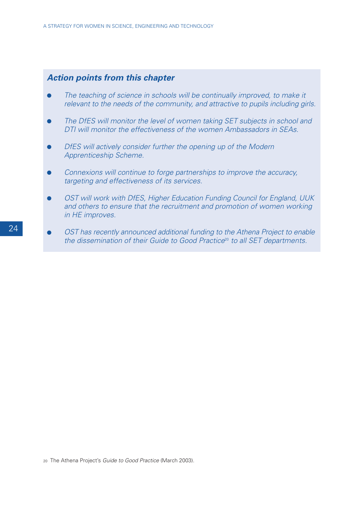### **Action points from this chapter**

- The teaching of science in schools will be continually improved, to make it relevant to the needs of the community, and attractive to pupils including girls.
- The DfES will monitor the level of women taking SET subjects in school and DTI will monitor the effectiveness of the women Ambassadors in SEAs.
- DfES will actively consider further the opening up of the Modern Apprenticeship Scheme.
- Connexions will continue to forge partnerships to improve the accuracy, targeting and effectiveness of its services.
- OST will work with DfES, Higher Education Funding Council for England, UUK and others to ensure that the recruitment and promotion of women working in HE improves.
- OST has recently announced additional funding to the Athena Project to enable the dissemination of their Guide to Good Practice<sup>20</sup> to all SET departments.

<sup>20</sup> The Athena Project's Guide to Good Practice (March 2003).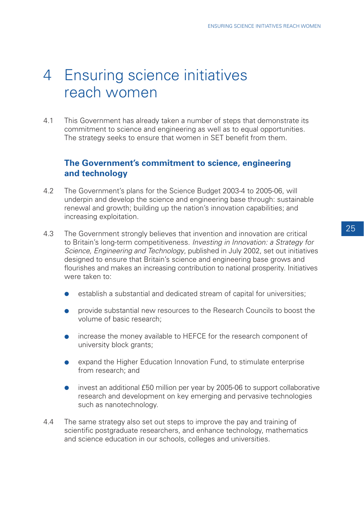# 4 Ensuring science initiatives reach women

4.1 This Government has already taken a number of steps that demonstrate its commitment to science and engineering as well as to equal opportunities. The strategy seeks to ensure that women in SET benefit from them.

## **The Government's commitment to science, engineering and technology**

- 4.2 The Government's plans for the Science Budget 2003-4 to 2005-06, will underpin and develop the science and engineering base through: sustainable renewal and growth; building up the nation's innovation capabilities; and increasing exploitation.
- 4.3 The Government strongly believes that invention and innovation are critical to Britain's long-term competitiveness. Investing in Innovation: a Strategy for Science, Engineering and Technology, published in July 2002, set out initiatives designed to ensure that Britain's science and engineering base grows and flourishes and makes an increasing contribution to national prosperity. Initiatives were taken to:
	- establish a substantial and dedicated stream of capital for universities;
	- provide substantial new resources to the Research Councils to boost the volume of basic research;
	- increase the money available to HEFCE for the research component of university block grants;
	- expand the Higher Education Innovation Fund, to stimulate enterprise from research; and
	- invest an additional £50 million per year by 2005-06 to support collaborative research and development on key emerging and pervasive technologies such as nanotechnology.
- 4.4 The same strategy also set out steps to improve the pay and training of scientific postgraduate researchers, and enhance technology, mathematics and science education in our schools, colleges and universities.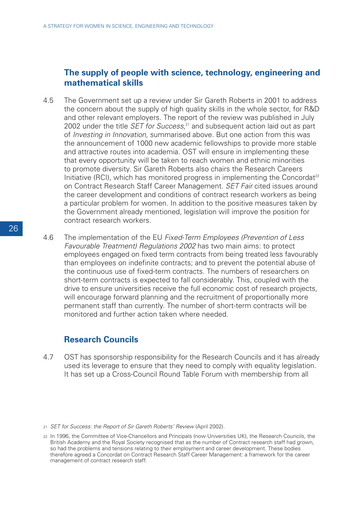### **The supply of people with science, technology, engineering and mathematical skills**

- 4.5 The Government set up a review under Sir Gareth Roberts in 2001 to address the concern about the supply of high quality skills in the whole sector, for R&D and other relevant employers. The report of the review was published in July 2002 under the title *SET for Success*,<sup>21</sup> and subsequent action laid out as part of Investing in Innovation, summarised above. But one action from this was the announcement of 1000 new academic fellowships to provide more stable and attractive routes into academia. OST will ensure in implementing these that every opportunity will be taken to reach women and ethnic minorities to promote diversity. Sir Gareth Roberts also chairs the Research Careers Initiative (RCI), which has monitored progress in implementing the Concordat<sup>22</sup> on Contract Research Staff Career Management. SET Fair cited issues around the career development and conditions of contract research workers as being a particular problem for women. In addition to the positive measures taken by the Government already mentioned, legislation will improve the position for contract research workers.
- 4.6 The implementation of the EU Fixed-Term Employees (Prevention of Less Favourable Treatment) Regulations 2002 has two main aims: to protect employees engaged on fixed term contracts from being treated less favourably than employees on indefinite contracts; and to prevent the potential abuse of the continuous use of fixed-term contracts. The numbers of researchers on short-term contracts is expected to fall considerably. This, coupled with the drive to ensure universities receive the full economic cost of research projects, will encourage forward planning and the recruitment of proportionally more permanent staff than currently. The number of short-term contracts will be monitored and further action taken where needed.

## **Research Councils**

4.7 OST has sponsorship responsibility for the Research Councils and it has already used its leverage to ensure that they need to comply with equality legislation. It has set up a Cross-Council Round Table Forum with membership from all

<sup>21</sup> SET for Success: the Report of Sir Gareth Roberts' Review (April 2002).

<sup>22</sup> In 1996, the Committee of Vice-Chancellors and Principals (now Universities UK), the Research Councils, the British Academy and the Royal Society recognised that as the number of Contract research staff had grown, so had the problems and tensions relating to their employment and career development. These bodies therefore agreed a Concordat on Contract Research Staff Career Management: a framework for the career management of contract research staff.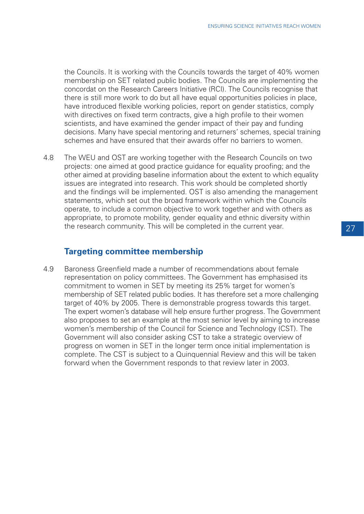the Councils. It is working with the Councils towards the target of 40% women membership on SET related public bodies. The Councils are implementing the concordat on the Research Careers Initiative (RCI). The Councils recognise that there is still more work to do but all have equal opportunities policies in place, have introduced flexible working policies, report on gender statistics, comply with directives on fixed term contracts, give a high profile to their women scientists, and have examined the gender impact of their pay and funding decisions. Many have special mentoring and returners' schemes, special training schemes and have ensured that their awards offer no barriers to women.

4.8 The WEU and OST are working together with the Research Councils on two projects: one aimed at good practice guidance for equality proofing; and the other aimed at providing baseline information about the extent to which equality issues are integrated into research. This work should be completed shortly and the findings will be implemented. OST is also amending the management statements, which set out the broad framework within which the Councils operate, to include a common objective to work together and with others as appropriate, to promote mobility, gender equality and ethnic diversity within the research community. This will be completed in the current year.

### **Targeting committee membership**

4.9 Baroness Greenfield made a number of recommendations about female representation on policy committees. The Government has emphasised its commitment to women in SET by meeting its 25% target for women's membership of SET related public bodies. It has therefore set a more challenging target of 40% by 2005. There is demonstrable progress towards this target. The expert women's database will help ensure further progress. The Government also proposes to set an example at the most senior level by aiming to increase women's membership of the Council for Science and Technology (CST). The Government will also consider asking CST to take a strategic overview of progress on women in SET in the longer term once initial implementation is complete. The CST is subject to a Quinquennial Review and this will be taken forward when the Government responds to that review later in 2003.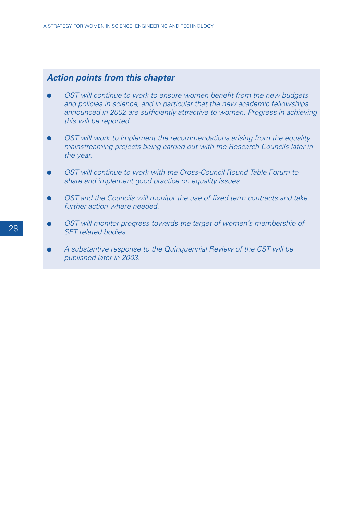# **Action points from this chapter**

- OST will continue to work to ensure women benefit from the new budgets and policies in science, and in particular that the new academic fellowships announced in 2002 are sufficiently attractive to women. Progress in achieving this will be reported.
- OST will work to implement the recommendations arising from the equality mainstreaming projects being carried out with the Research Councils later in the year.
- OST will continue to work with the Cross-Council Round Table Forum to share and implement good practice on equality issues.
- OST and the Councils will monitor the use of fixed term contracts and take further action where needed.
- OST will monitor progress towards the target of women's membership of SET related bodies.
- A substantive response to the Quinquennial Review of the CST will be published later in 2003.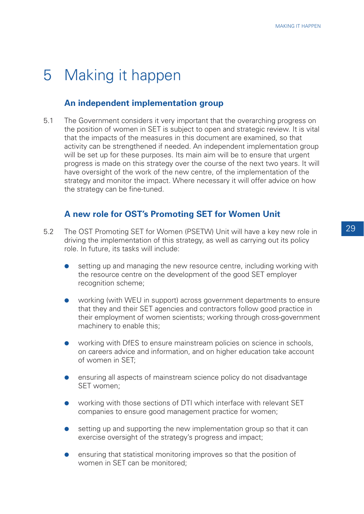# 5 Making it happen

### **An independent implementation group**

5.1 The Government considers it very important that the overarching progress on the position of women in SET is subject to open and strategic review. It is vital that the impacts of the measures in this document are examined, so that activity can be strengthened if needed. An independent implementation group will be set up for these purposes. Its main aim will be to ensure that urgent progress is made on this strategy over the course of the next two years. It will have oversight of the work of the new centre, of the implementation of the strategy and monitor the impact. Where necessary it will offer advice on how the strategy can be fine-tuned.

#### **A new role for OST's Promoting SET for Women Unit**

- 5.2 The OST Promoting SET for Women (PSETW) Unit will have a key new role in driving the implementation of this strategy, as well as carrying out its policy role. In future, its tasks will include:
	- setting up and managing the new resource centre, including working with the resource centre on the development of the good SET employer recognition scheme;
	- working (with WEU in support) across government departments to ensure that they and their SET agencies and contractors follow good practice in their employment of women scientists; working through cross-government machinery to enable this;
	- working with DfES to ensure mainstream policies on science in schools, on careers advice and information, and on higher education take account of women in SET;
	- ensuring all aspects of mainstream science policy do not disadvantage SET women;
	- working with those sections of DTI which interface with relevant SET companies to ensure good management practice for women;
	- setting up and supporting the new implementation group so that it can exercise oversight of the strategy's progress and impact;
	- ensuring that statistical monitoring improves so that the position of women in SET can be monitored;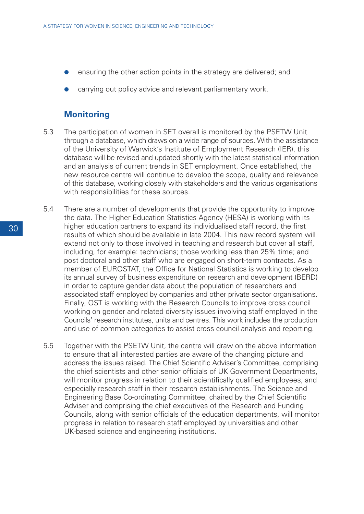- ensuring the other action points in the strategy are delivered; and
- carrying out policy advice and relevant parliamentary work.

#### **Monitoring**

- 5.3 The participation of women in SET overall is monitored by the PSETW Unit through a database, which draws on a wide range of sources. With the assistance of the University of Warwick's Institute of Employment Research (IER), this database will be revised and updated shortly with the latest statistical information and an analysis of current trends in SET employment. Once established, the new resource centre will continue to develop the scope, quality and relevance of this database, working closely with stakeholders and the various organisations with responsibilities for these sources.
- 5.4 There are a number of developments that provide the opportunity to improve the data. The Higher Education Statistics Agency (HESA) is working with its higher education partners to expand its individualised staff record, the first results of which should be available in late 2004. This new record system will extend not only to those involved in teaching and research but cover all staff, including, for example: technicians; those working less than 25% time; and post doctoral and other staff who are engaged on short-term contracts. As a member of EUROSTAT, the Office for National Statistics is working to develop its annual survey of business expenditure on research and development (BERD) in order to capture gender data about the population of researchers and associated staff employed by companies and other private sector organisations. Finally, OST is working with the Research Councils to improve cross council working on gender and related diversity issues involving staff employed in the Councils' research institutes, units and centres. This work includes the production and use of common categories to assist cross council analysis and reporting.
- 5.5 Together with the PSETW Unit, the centre will draw on the above information to ensure that all interested parties are aware of the changing picture and address the issues raised. The Chief Scientific Adviser's Committee, comprising the chief scientists and other senior officials of UK Government Departments, will monitor progress in relation to their scientifically qualified employees, and especially research staff in their research establishments. The Science and Engineering Base Co-ordinating Committee, chaired by the Chief Scientific Adviser and comprising the chief executives of the Research and Funding Councils, along with senior officials of the education departments, will monitor progress in relation to research staff employed by universities and other UK-based science and engineering institutions.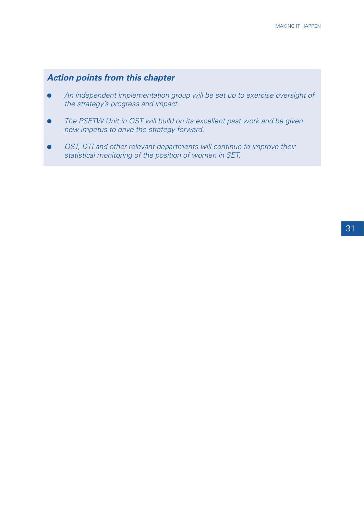# **Action points from this chapter**

- An independent implementation group will be set up to exercise oversight of the strategy's progress and impact.
- The PSETW Unit in OST will build on its excellent past work and be given new impetus to drive the strategy forward.
- OST, DTI and other relevant departments will continue to improve their statistical monitoring of the position of women in SET.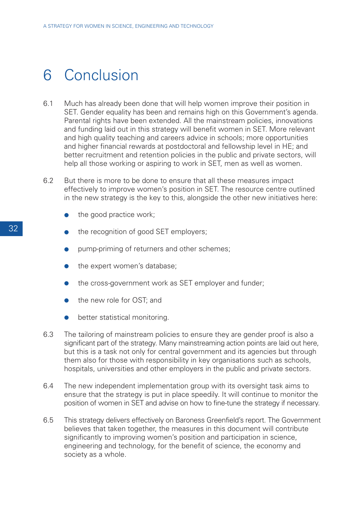# 6 Conclusion

- 6.1 Much has already been done that will help women improve their position in SET. Gender equality has been and remains high on this Government's agenda. Parental rights have been extended. All the mainstream policies, innovations and funding laid out in this strategy will benefit women in SET. More relevant and high quality teaching and careers advice in schools; more opportunities and higher financial rewards at postdoctoral and fellowship level in HE; and better recruitment and retention policies in the public and private sectors, will help all those working or aspiring to work in SET, men as well as women.
- 6.2 But there is more to be done to ensure that all these measures impact effectively to improve women's position in SET. The resource centre outlined in the new strategy is the key to this, alongside the other new initiatives here:
	- the good practice work;
	- the recognition of good SET employers;
	- pump-priming of returners and other schemes;
	- the expert women's database;
	- the cross-government work as SET employer and funder;
	- the new role for OST; and
	- better statistical monitoring.
- 6.3 The tailoring of mainstream policies to ensure they are gender proof is also a significant part of the strategy. Many mainstreaming action points are laid out here, but this is a task not only for central government and its agencies but through them also for those with responsibility in key organisations such as schools, hospitals, universities and other employers in the public and private sectors.
- 6.4 The new independent implementation group with its oversight task aims to ensure that the strategy is put in place speedily. It will continue to monitor the position of women in SET and advise on how to fine-tune the strategy if necessary.
- 6.5 This strategy delivers effectively on Baroness Greenfield's report. The Government believes that taken together, the measures in this document will contribute significantly to improving women's position and participation in science, engineering and technology, for the benefit of science, the economy and society as a whole.